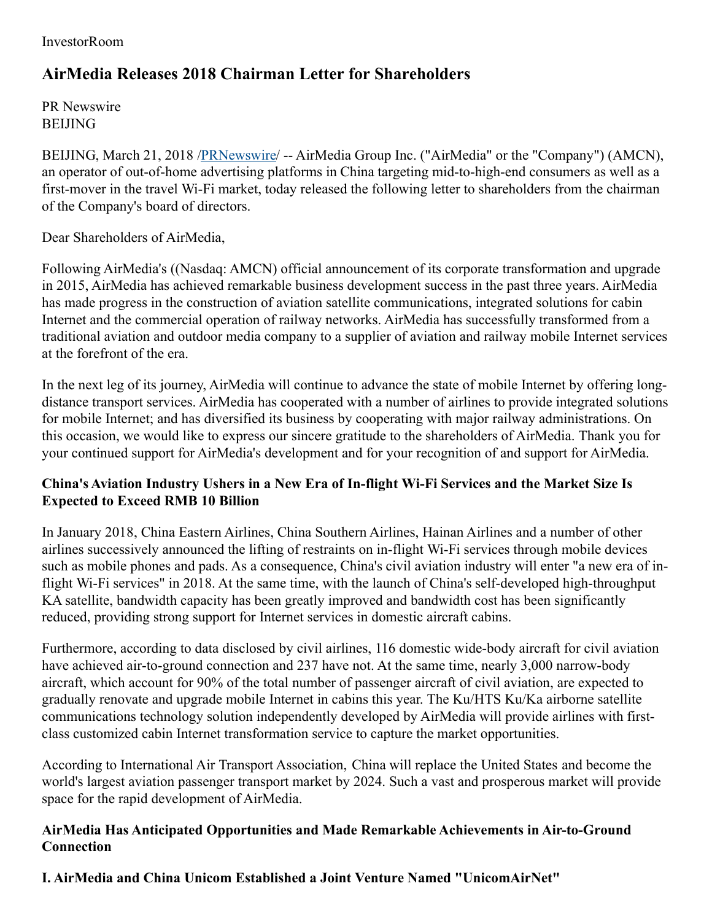#### InvestorRoom

# **AirMedia Releases 2018 Chairman Letter for Shareholders**

PR Newswire **BELIING** 

BEIJING, March 21, 2018 [/PRNewswire](http://www.prnewswire.com/)/ -- AirMedia Group Inc. ("AirMedia" or the "Company") (AMCN), an operator of out-of-home advertising platforms in China targeting mid-to-high-end consumers as well as a first-mover in the travel Wi-Fi market, today released the following letter to shareholders from the chairman of the Company's board of directors.

Dear Shareholders of AirMedia,

Following AirMedia's ((Nasdaq: AMCN) official announcement of its corporate transformation and upgrade in 2015, AirMedia has achieved remarkable business development success in the past three years. AirMedia has made progress in the construction of aviation satellite communications, integrated solutions for cabin Internet and the commercial operation of railway networks. AirMedia has successfully transformed from a traditional aviation and outdoor media company to a supplier of aviation and railway mobile Internet services at the forefront of the era.

In the next leg of its journey, AirMedia will continue to advance the state of mobile Internet by offering longdistance transport services. AirMedia has cooperated with a number of airlines to provide integrated solutions for mobile Internet; and has diversified its business by cooperating with major railway administrations. On this occasion, we would like to express our sincere gratitude to the shareholders of AirMedia. Thank you for your continued support for AirMedia's development and for your recognition of and support for AirMedia.

## **China's Aviation Industry Ushers in a New Era of In-flight Wi-Fi Services and the Market Size Is Expected to Exceed RMB 10 Billion**

In January 2018, China Eastern Airlines, China Southern Airlines, Hainan Airlines and a number of other airlines successively announced the lifting of restraints on in-flight Wi-Fi services through mobile devices such as mobile phones and pads. As a consequence, China's civil aviation industry will enter "a new era of inflight Wi-Fi services" in 2018. At the same time, with the launch of China's self-developed high-throughput KA satellite, bandwidth capacity has been greatly improved and bandwidth cost has been significantly reduced, providing strong support for Internet services in domestic aircraft cabins.

Furthermore, according to data disclosed by civil airlines, 116 domestic wide-body aircraft for civil aviation have achieved air-to-ground connection and 237 have not. At the same time, nearly 3,000 narrow-body aircraft, which account for 90% of the total number of passenger aircraft of civil aviation, are expected to gradually renovate and upgrade mobile Internet in cabins this year. The Ku/HTS Ku/Ka airborne satellite communications technology solution independently developed by AirMedia will provide airlines with firstclass customized cabin Internet transformation service to capture the market opportunities.

According to International Air Transport Association, China will replace the United States and become the world's largest aviation passenger transport market by 2024. Such a vast and prosperous market will provide space for the rapid development of AirMedia.

### **AirMedia Has Anticipated Opportunities and Made Remarkable Achievements in Air-to-Ground Connection**

**I. AirMedia and China Unicom Established a Joint Venture Named "UnicomAirNet"**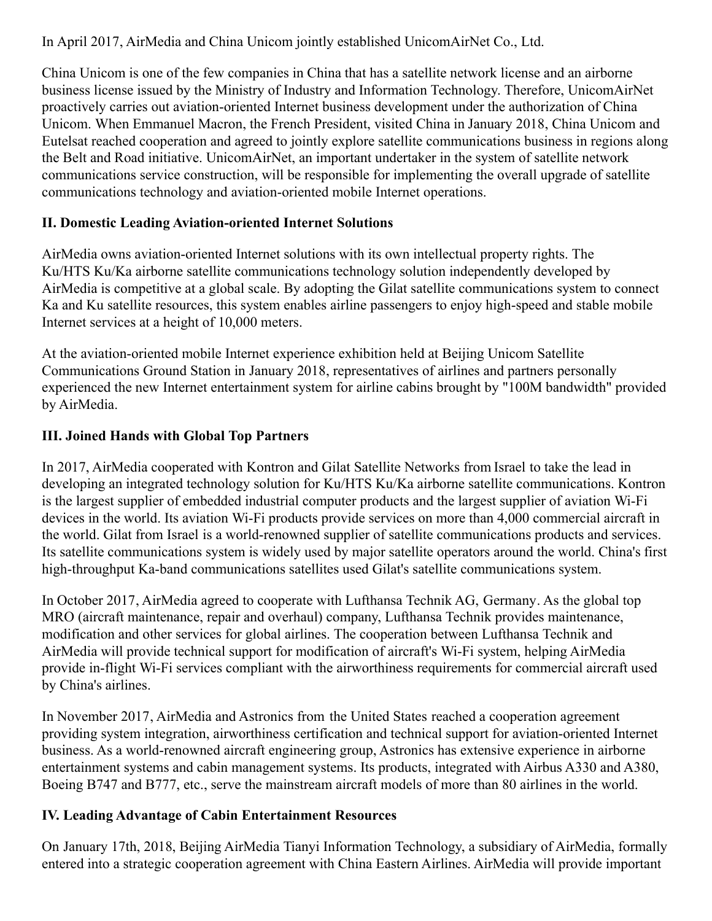In April 2017, AirMedia and China Unicom jointly established UnicomAirNet Co., Ltd.

China Unicom is one of the few companies in China that has a satellite network license and an airborne business license issued by the Ministry of Industry and Information Technology. Therefore, UnicomAirNet proactively carries out aviation-oriented Internet business development under the authorization of China Unicom. When Emmanuel Macron, the French President, visited China in January 2018, China Unicom and Eutelsat reached cooperation and agreed to jointly explore satellite communications business in regions along the Belt and Road initiative. UnicomAirNet, an important undertaker in the system of satellite network communications service construction, will be responsible for implementing the overall upgrade of satellite communications technology and aviation-oriented mobile Internet operations.

# **II. Domestic Leading Aviation-oriented Internet Solutions**

AirMedia owns aviation-oriented Internet solutions with its own intellectual property rights. The Ku/HTS Ku/Ka airborne satellite communications technology solution independently developed by AirMedia is competitive at a global scale. By adopting the Gilat satellite communications system to connect Ka and Ku satellite resources, this system enables airline passengers to enjoy high-speed and stable mobile Internet services at a height of 10,000 meters.

At the aviation-oriented mobile Internet experience exhibition held at Beijing Unicom Satellite Communications Ground Station in January 2018, representatives of airlines and partners personally experienced the new Internet entertainment system for airline cabins brought by "100M bandwidth" provided by AirMedia.

## **III. Joined Hands with Global Top Partners**

In 2017, AirMedia cooperated with Kontron and Gilat Satellite Networks from Israel to take the lead in developing an integrated technology solution for Ku/HTS Ku/Ka airborne satellite communications. Kontron is the largest supplier of embedded industrial computer products and the largest supplier of aviation Wi-Fi devices in the world. Its aviation Wi-Fi products provide services on more than 4,000 commercial aircraft in the world. Gilat from Israel is a world-renowned supplier of satellite communications products and services. Its satellite communications system is widely used by major satellite operators around the world. China's first high-throughput Ka-band communications satellites used Gilat's satellite communications system.

In October 2017, AirMedia agreed to cooperate with Lufthansa Technik AG, Germany. As the global top MRO (aircraft maintenance, repair and overhaul) company, Lufthansa Technik provides maintenance, modification and other services for global airlines. The cooperation between Lufthansa Technik and AirMedia will provide technical support for modification of aircraft's Wi-Fi system, helping AirMedia provide in-flight Wi-Fi services compliant with the airworthiness requirements for commercial aircraft used by China's airlines.

In November 2017, AirMedia and Astronics from the United States reached a cooperation agreement providing system integration, airworthiness certification and technical support for aviation-oriented Internet business. As a world-renowned aircraft engineering group, Astronics has extensive experience in airborne entertainment systems and cabin management systems. Its products, integrated with Airbus A330 and A380, Boeing B747 and B777, etc., serve the mainstream aircraft models of more than 80 airlines in the world.

# **IV. Leading Advantage of Cabin Entertainment Resources**

On January 17th, 2018, Beijing AirMedia Tianyi Information Technology, a subsidiary of AirMedia, formally entered into a strategic cooperation agreement with China Eastern Airlines. AirMedia will provide important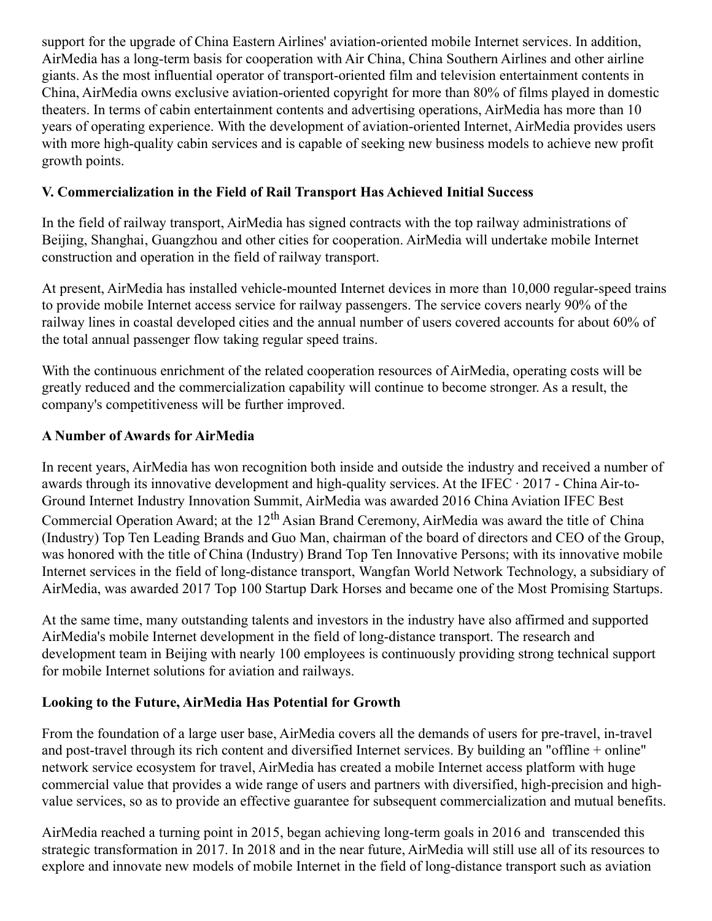support for the upgrade of China Eastern Airlines' aviation-oriented mobile Internet services. In addition, AirMedia has a long-term basis for cooperation with Air China, China Southern Airlines and other airline giants. As the most influential operator of transport-oriented film and television entertainment contents in China, AirMedia owns exclusive aviation-oriented copyright for more than 80% of films played in domestic theaters. In terms of cabin entertainment contents and advertising operations, AirMedia has more than 10 years of operating experience. With the development of aviation-oriented Internet, AirMedia provides users with more high-quality cabin services and is capable of seeking new business models to achieve new profit growth points.

## **V. Commercialization in the Field of Rail Transport Has Achieved Initial Success**

In the field of railway transport, AirMedia has signed contracts with the top railway administrations of Beijing, Shanghai, Guangzhou and other cities for cooperation. AirMedia will undertake mobile Internet construction and operation in the field of railway transport.

At present, AirMedia has installed vehicle-mounted Internet devices in more than 10,000 regular-speed trains to provide mobile Internet access service for railway passengers. The service covers nearly 90% of the railway lines in coastal developed cities and the annual number of users covered accounts for about 60% of the total annual passenger flow taking regular speed trains.

With the continuous enrichment of the related cooperation resources of AirMedia, operating costs will be greatly reduced and the commercialization capability will continue to become stronger. As a result, the company's competitiveness will be further improved.

## **A Number of Awards for AirMedia**

In recent years, AirMedia has won recognition both inside and outside the industry and received a number of awards through its innovative development and high-quality services. At the IFEC  $\cdot$  2017 - China Air-to-Ground Internet Industry Innovation Summit, AirMedia was awarded 2016 China Aviation IFEC Best Commercial Operation Award; at the 12<sup>th</sup> Asian Brand Ceremony, AirMedia was award the title of China (Industry) Top Ten Leading Brands and Guo Man, chairman of the board of directors and CEO of the Group, was honored with the title of China (Industry) Brand Top Ten Innovative Persons; with its innovative mobile Internet services in the field of long-distance transport, Wangfan World Network Technology, a subsidiary of AirMedia, was awarded 2017 Top 100 Startup Dark Horses and became one of the Most Promising Startups.

At the same time, many outstanding talents and investors in the industry have also affirmed and supported AirMedia's mobile Internet development in the field of long-distance transport. The research and development team in Beijing with nearly 100 employees is continuously providing strong technical support for mobile Internet solutions for aviation and railways.

### **Looking to the Future, AirMedia Has Potential for Growth**

From the foundation of a large user base, AirMedia covers all the demands of users for pre-travel, in-travel and post-travel through its rich content and diversified Internet services. By building an "offline + online" network service ecosystem for travel, AirMedia has created a mobile Internet access platform with huge commercial value that provides a wide range of users and partners with diversified, high-precision and highvalue services, so as to provide an effective guarantee for subsequent commercialization and mutual benefits.

AirMedia reached a turning point in 2015, began achieving long-term goals in 2016 and transcended this strategic transformation in 2017. In 2018 and in the near future, AirMedia will still use all of its resources to explore and innovate new models of mobile Internet in the field of long-distance transport such as aviation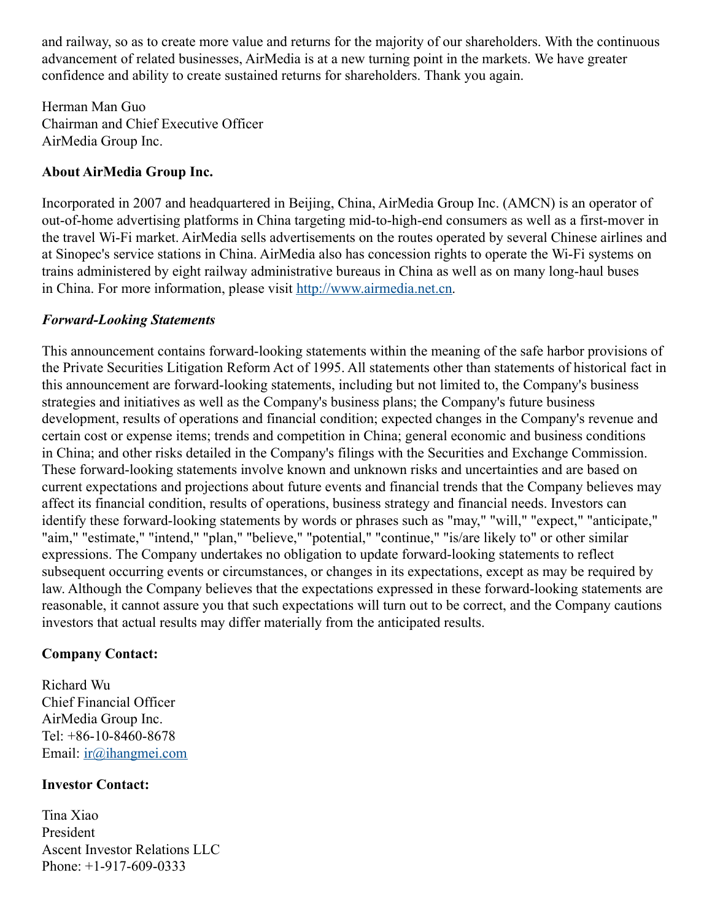and railway, so as to create more value and returns for the majority of our shareholders. With the continuous advancement of related businesses, AirMedia is at a new turning point in the markets. We have greater confidence and ability to create sustained returns for shareholders. Thank you again.

Herman Man Guo Chairman and Chief Executive Officer AirMedia Group Inc.

### **About AirMedia Group Inc.**

Incorporated in 2007 and headquartered in Beijing, China, AirMedia Group Inc. (AMCN) is an operator of out-of-home advertising platforms in China targeting mid-to-high-end consumers as well as a first-mover in the travel Wi-Fi market. AirMedia sells advertisements on the routes operated by several Chinese airlines and at Sinopec's service stations in China. AirMedia also has concession rights to operate the Wi-Fi systems on trains administered by eight railway administrative bureaus in China as well as on many long-haul buses in China. For more information, please visit [http://www.airmedia.net.cn](http://www.airmedia.net.cn/).

#### *Forward-Looking Statements*

This announcement contains forward-looking statements within the meaning of the safe harbor provisions of the Private Securities Litigation Reform Act of 1995. All statements other than statements of historical fact in this announcement are forward-looking statements, including but not limited to, the Company's business strategies and initiatives as well as the Company's business plans; the Company's future business development, results of operations and financial condition; expected changes in the Company's revenue and certain cost or expense items; trends and competition in China; general economic and business conditions in China; and other risks detailed in the Company's filings with the Securities and Exchange Commission. These forward-looking statements involve known and unknown risks and uncertainties and are based on current expectations and projections about future events and financial trends that the Company believes may affect its financial condition, results of operations, business strategy and financial needs. Investors can identify these forward-looking statements by words or phrases such as "may," "will," "expect," "anticipate," "aim," "estimate," "intend," "plan," "believe," "potential," "continue," "is/are likely to" or other similar expressions. The Company undertakes no obligation to update forward-looking statements to reflect subsequent occurring events or circumstances, or changes in its expectations, except as may be required by law. Although the Company believes that the expectations expressed in these forward-looking statements are reasonable, it cannot assure you that such expectations will turn out to be correct, and the Company cautions investors that actual results may differ materially from the anticipated results.

#### **Company Contact:**

Richard Wu Chief Financial Officer AirMedia Group Inc. Tel: +86-10-8460-8678 Email: [ir@ihangmei.com](mailto:ir@ihangmei.com)

#### **Investor Contact:**

Tina Xiao President Ascent Investor Relations LLC Phone: +1-917-609-0333